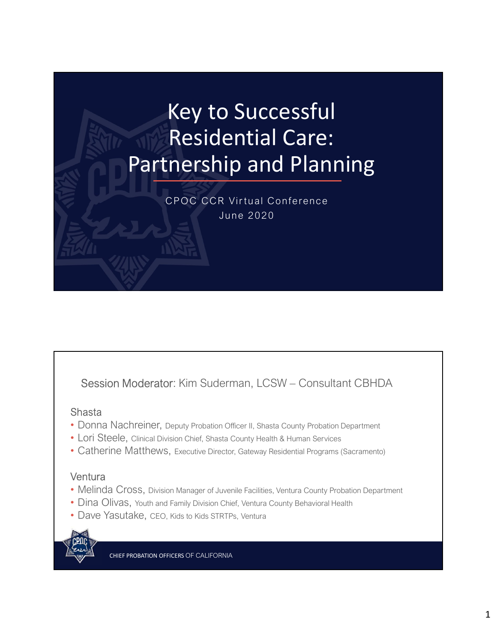## Key to Successful Residential Care: Partnership and Planning Key to Successful<br>Residential Care:<br>Enership and Planning<br>CPOC CCR Virtual Conference **D Successful**<br>Jential Care:<br>A Virtual Conference<br>R Virtual Conference

Session Moderator: Kim Suderman, LCSW – Consultant CBHDA<br>
Session Moderator: Kim Suderman, LCSW – Consultant CBHDA<br>
Session Moderator: Kim Suderman, LCSW – Consultant CBHDA<br>
Alasta<br>
Donna Nachreiner, Deputy Probation Offic

### Shasta

- Donna Nachreiner, Deputy Probation Officer II, Shasta County Probation Department
- Lori Steele, Clinical Division Chief, Shasta County Health & Human Services
- Catherine Matthews, Executive Director, Gateway Residential Programs (Sacramento)

## **Ventura**

- Melinda Cross, Division Manager of Juvenile Facilities, Ventura County Probation Department
- Dina Olivas, Youth and Family Division Chief, Ventura County Behavioral Health
- Dave Yasutake, CEO, Kids to Kids STRTPs, Ventura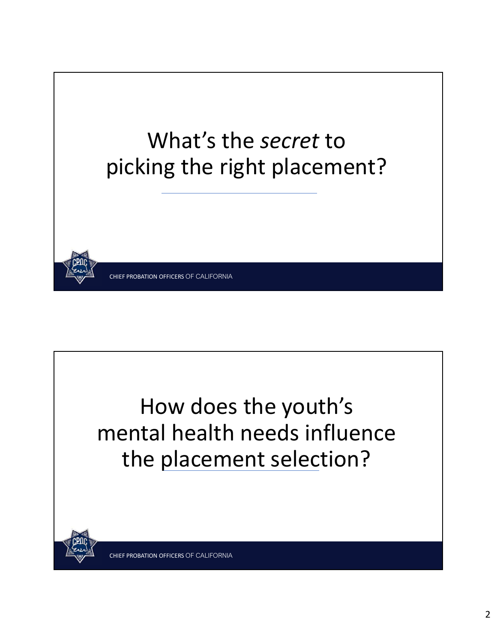

How does the youth's mental health needs influence the placement selection?

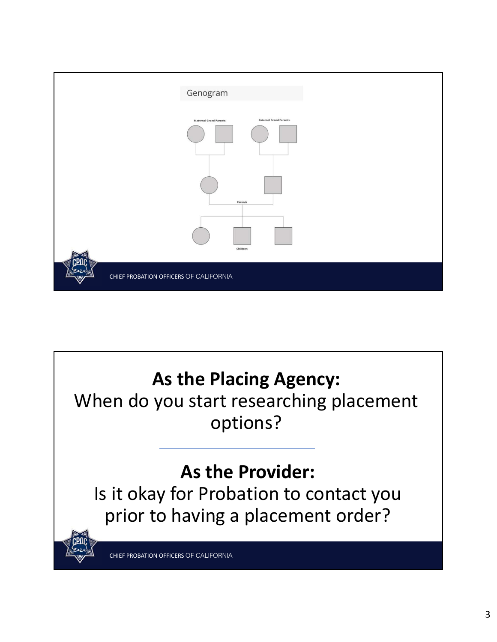

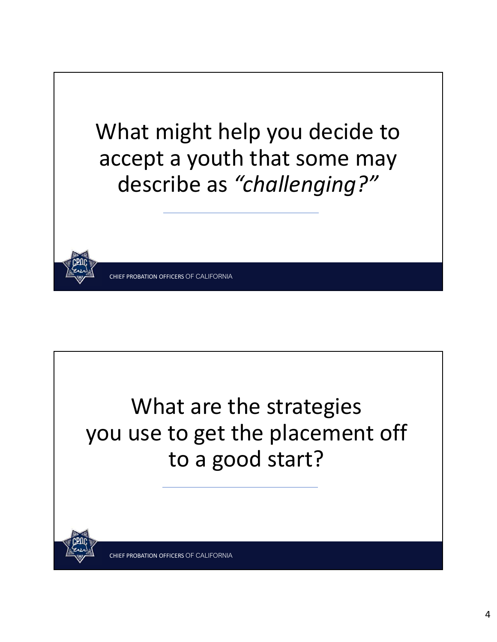

What are the strategies you use to get the placement off to a good start?

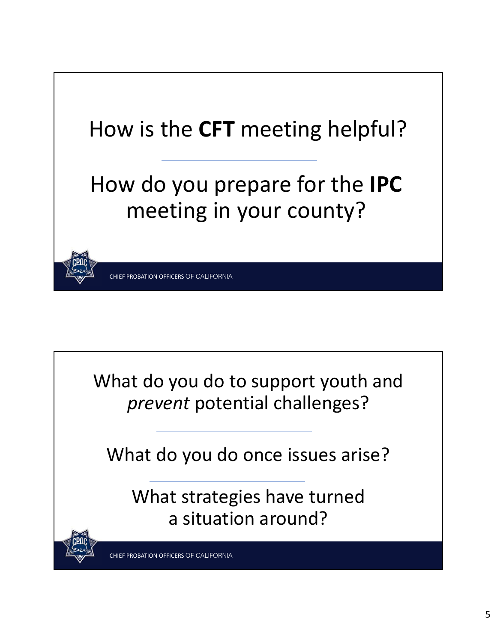



What do you do once issues arise?

What strategies have turned a situation around?